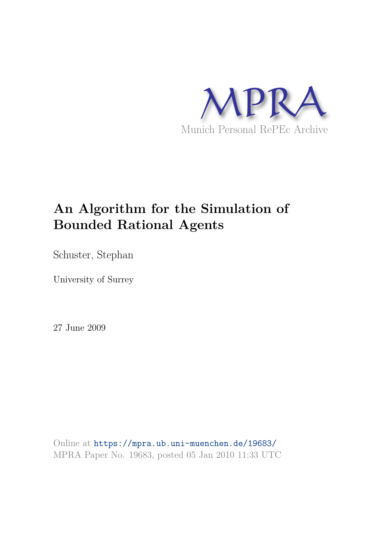

Schuster, Stephan

University of Surrey

27 June 2009

Online at https://mpra.ub.uni-muenchen.de/19683/ MPRA Paper No. 19683, posted 05 Jan 2010 11:33 UTC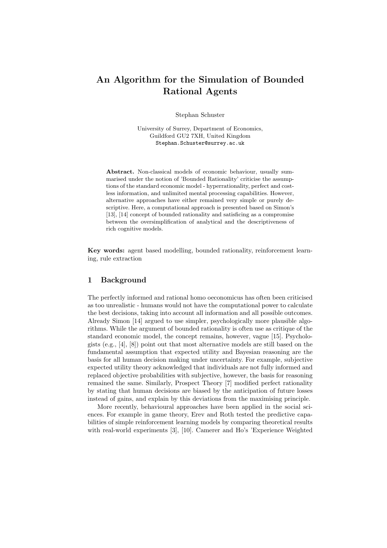Stephan Schuster

University of Surrey, Department of Economics, Guildford GU2 7XH, United Kingdom Stephan.Schuster@surrey.ac.uk

Abstract. Non-classical models of economic behaviour, usually summarised under the notion of 'Bounded Rationality' criticise the assumptions of the standard economic model - hyperrationality, perfect and costless information, and unlimited mental processing capabilities. However, alternative approaches have either remained very simple or purely descriptive. Here, a computational approach is presented based on Simon's [13], [14] concept of bounded rationality and satisficing as a compromise between the oversimplification of analytical and the descriptiveness of rich cognitive models.

Key words: agent based modelling, bounded rationality, reinforcement learning, rule extraction

## 1 Background

The perfectly informed and rational homo oeconomicus has often been criticised as too unrealistic - humans would not have the computational power to calculate the best decisions, taking into account all information and all possible outcomes. Already Simon [14] argued to use simpler, psychologically more plausible algorithms. While the argument of bounded rationality is often use as critique of the standard economic model, the concept remains, however, vague [15]. Psychologists (e.g., [4], [8]) point out that most alternative models are still based on the fundamental assumption that expected utility and Bayesian reasoning are the basis for all human decision making under uncertainty. For example, subjective expected utility theory acknowledged that individuals are not fully informed and replaced objective probabilities with subjective, however, the basis for reasoning remained the same. Similarly, Prospect Theory [7] modified perfect rationality by stating that human decisions are biased by the anticipation of future losses instead of gains, and explain by this deviations from the maximising principle.

More recently, behavioural approaches have been applied in the social sciences. For example in game theory, Erev and Roth tested the predictive capabilities of simple reinforcement learning models by comparing theoretical results with real-world experiments [3], [10]. Camerer and Ho's 'Experience Weighted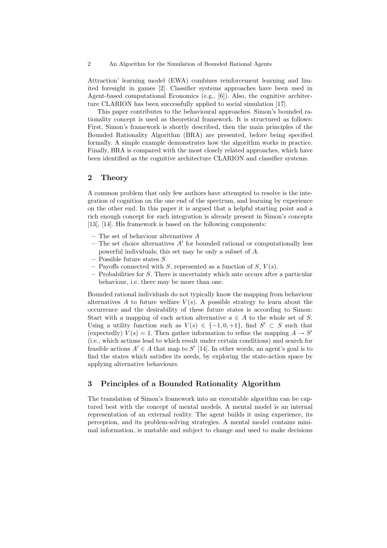Attraction' learning model (EWA) combines reinforcement learning and limited foresight in games [2]. Classifier systems approaches have been used in Agent-based computational Economics (e.g., [6]). Also, the cognitive architecture CLARION has been successfully applied to social simulation [17].

This paper contributes to the behavioural approaches. Simon's bounded rationality concept is used as theoretical framework. It is structured as follows: First, Simon's framework is shortly described, then the main principles of the Bounded Rationality Algorithm (BRA) are presented, before being specified formally. A simple example demonstrates how the algorithm works in practice. Finally, BRA is compared with the most closely related approaches, which have been identified as the cognitive architecture CLARION and classifier systems.

## 2 Theory

A common problem that only few authors have attempted to resolve is the integration of cognition on the one end of the spectrum, and learning by experience on the other end. In this paper it is argued that a helpful starting point and a rich enough concept for such integration is already present in Simon's concepts [13], [14]. His framework is based on the following components:

- The set of behaviour alternatives A
- $-$  The set choice alternatives  $A'$  for bounded rational or computationally less powerful individuals; this set may be only a subset of A.
- Possible future states  $S$
- Payoffs connected with S, represented as a function of S,  $V(s)$ .
- Probabilities for S. There is uncertainty which sate occurs after a particular behaviour, i.e. there may be more than one.

Bounded rational individuals do not typically know the mapping from behaviour alternatives  $A$  to future welfare  $V(s)$ . A possible strategy to learn about the occurrence and the desirability of these future states is according to Simon: Start with a mapping of each action alternative  $a \in A$  to the whole set of S. Using a utility function such as  $V(s) \in \{-1,0,+1\}$ , find  $S' \subset S$  such that (expectedly)  $V(s) = 1$ . Then gather information to refine the mapping  $A \rightarrow S'$ (i.e., which actions lead to which result under certain conditions) and search for feasible actions  $A' \in A$  that map to S' [14]. In other words, an agent's goal is to find the states which satisfies its needs, by exploring the state-action space by applying alternative behaviours.

## 3 Principles of a Bounded Rationality Algorithm

The translation of Simon's framework into an executable algorithm can be captured best with the concept of mental models. A mental model is an internal representation of an external reality. The agent builds it using experience, its perception, and its problem-solving strategies. A mental model contains minimal information, is unstable and subject to change and used to make decisions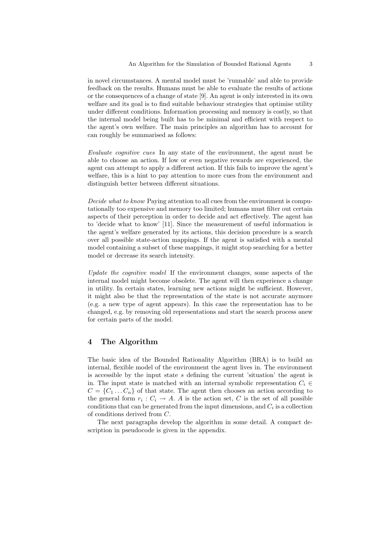in novel circumstances. A mental model must be 'runnable' and able to provide feedback on the results. Humans must be able to evaluate the results of actions or the consequences of a change of state [9]. An agent is only interested in its own welfare and its goal is to find suitable behaviour strategies that optimise utility under different conditions. Information processing and memory is costly, so that the internal model being built has to be minimal and efficient with respect to the agent's own welfare. The main principles an algorithm has to account for can roughly be summarised as follows:

Evaluate cognitive cues In any state of the environment, the agent must be able to choose an action. If low or even negative rewards are experienced, the agent can attempt to apply a different action. If this fails to improve the agent's welfare, this is a hint to pay attention to more cues from the environment and distinguish better between different situations.

Decide what to know Paying attention to all cues from the environment is computationally too expensive and memory too limited; humans must filter out certain aspects of their perception in order to decide and act effectively. The agent has to 'decide what to know' [11]. Since the measurement of useful information is the agent's welfare generated by its actions, this decision procedure is a search over all possible state-action mappings. If the agent is satisfied with a mental model containing a subset of these mappings, it might stop searching for a better model or decrease its search intensity.

Update the cognitive model If the environment changes, some aspects of the internal model might become obsolete. The agent will then experience a change in utility. In certain states, learning new actions might be sufficient. However, it might also be that the representation of the state is not accurate anymore (e.g. a new type of agent appears). In this case the representation has to be changed, e.g. by removing old representations and start the search process anew for certain parts of the model.

## 4 The Algorithm

The basic idea of the Bounded Rationality Algorithm (BRA) is to build an internal, flexible model of the environment the agent lives in. The environment is accessible by the input state s defining the current 'situation' the agent is in. The input state is matched with an internal symbolic representation  $C_i \in$  $C = \{C_1 \dots C_n\}$  of that state. The agent then chooses an action according to the general form  $r_i: C_i \to A$ . A is the action set, C is the set of all possible conditions that can be generated from the input dimensions, and  $C_i$  is a collection of conditions derived from C.

The next paragraphs develop the algorithm in some detail. A compact description in pseudocode is given in the appendix.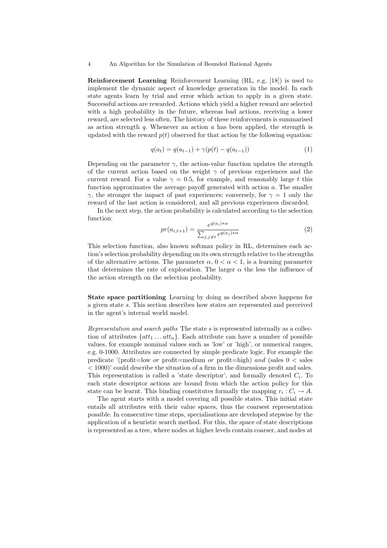Reinforcement Learning Reinforcement Learning (RL, e.g. [18]) is used to implement the dynamic aspect of knowledge generation in the model. In each state agents learn by trial and error which action to apply in a given state. Successful actions are rewarded. Actions which yield a higher reward are selected with a high probability in the future, whereas bad actions, receiving a lower reward, are selected less often. The history of these reinforcements is summarised as action strength q. Whenever an action  $\alpha$  has been applied, the strength is updated with the reward  $p(t)$  observed for that action by the following equation:

$$
q(a_t) = q(a_{t-1}) + \gamma(p(t) - q(a_{t-1}))
$$
\n(1)

Depending on the parameter  $\gamma$ , the action-value function updates the strength of the current action based on the weight  $\gamma$  of previous experiences and the current reward. For a value  $\gamma = 0.5$ , for example, and reasonably large t this function approximates the average payoff generated with action a. The smaller  $\gamma$ , the stronger the impact of past experiences; conversely, for  $\gamma = 1$  only the reward of the last action is considered, and all previous experiences discarded.

In the next step, the action probability is calculated according to the selection function:

$$
pr(a_{i,t+1}) = \frac{e^{q(a_i)*\alpha}}{\sum_{j,j\neq i} e^{q(a_j)*\alpha}}
$$
\n
$$
(2)
$$

This selection function, also known softmax policy in RL, determines each action's selection probability depending on its own strength relative to the strengths of the alternative actions. The parameter  $\alpha$ ,  $0 < \alpha < 1$ , is a learning parameter that determines the rate of exploration. The larger  $\alpha$  the less the influence of the action strength on the selection probability.

State space partitioning Learning by doing as described above happens for a given state s. This section describes how states are represented and perceived in the agent's internal world model.

Representation and search paths The state  $s$  is represented internally as a collection of attributes  $\{att_1 \dots att_n\}$ . Each attribute can have a number of possible values, for example nominal values such as 'low' or 'high', or numerical ranges, e.g. 0-1000. Attributes are connected by simple predicate logic. For example the predicate '(profit=low or profit=medium or profit=high) and (sales  $0 <$  sales < 1000)' could describe the situation of a firm in the dimensions profit and sales. This representation is called a 'state descriptor', and formally denoted  $C_i$ . To each state descriptor actions are bound from which the action policy for this state can be learnt. This binding constitutes formally the mapping  $r_i: C_i \to A$ .

The agent starts with a model covering all possible states. This initial state entails all attributes with their value spaces, thus the coarsest representation possible. In consecutive time steps, specialisations are developed stepwise by the application of a heuristic search method. For this, the space of state descriptions is represented as a tree, where nodes at higher levels contain coarser, and nodes at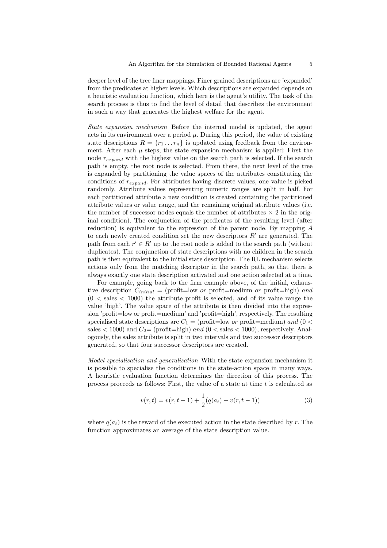deeper level of the tree finer mappings. Finer grained descriptions are 'expanded' from the predicates at higher levels. Which descriptions are expanded depends on a heuristic evaluation function, which here is the agent's utility. The task of the search process is thus to find the level of detail that describes the environment in such a way that generates the highest welfare for the agent.

State expansion mechanism Before the internal model is updated, the agent acts in its environment over a period  $\mu$ . During this period, the value of existing state descriptions  $R = \{r_1 \dots r_n\}$  is updated using feedback from the environment. After each  $\mu$  steps, the state expansion mechanism is applied: First the node  $r_{expand}$  with the highest value on the search path is selected. If the search path is empty, the root node is selected. From there, the next level of the tree is expanded by partitioning the value spaces of the attributes constituting the conditions of  $r_{expand}$ . For attributes having discrete values, one value is picked randomly. Attribute values representing numeric ranges are split in half. For each partitioned attribute a new condition is created containing the partitioned attribute values or value range, and the remaining original attribute values (i.e. the number of successor nodes equals the number of attributes  $\times$  2 in the original condition). The conjunction of the predicates of the resulting level (after reduction) is equivalent to the expression of the parent node. By mapping A to each newly created condition set the new descriptors  $R'$  are generated. The path from each  $r' \in R'$  up to the root node is added to the search path (without duplicates). The conjunction of state descriptions with no children in the search path is then equivalent to the initial state description. The RL mechanism selects actions only from the matching descriptor in the search path, so that there is always exactly one state description activated and one action selected at a time.

For example, going back to the firm example above, of the initial, exhaustive description  $C_{initial} =$  (profit=low or profit=medium or profit=high) and  $(0 \lt sales \lt 1000)$  the attribute profit is selected, and of its value range the value 'high'. The value space of the attribute is then divided into the expression 'profit=low or profit=medium' and 'profit=high', respectively. The resulting specialised state descriptions are  $C_1 =$  (profit=low or profit=medium) and (0 < sales  $<$  1000) and  $C_2$  = (profit=high) and (0  $<$  sales  $<$  1000), respectively. Analogously, the sales attribute is split in two intervals and two successor descriptors generated, so that four successor descriptors are created.

Model specialisation and generalisation With the state expansion mechanism it is possible to specialise the conditions in the state-action space in many ways. A heuristic evaluation function determines the direction of this process. The process proceeds as follows: First, the value of a state at time t is calculated as

$$
v(r,t) = v(r,t-1) + \frac{1}{2}(q(a_t) - v(r,t-1))
$$
\n(3)

where  $q(a_t)$  is the reward of the executed action in the state described by r. The function approximates an average of the state description value.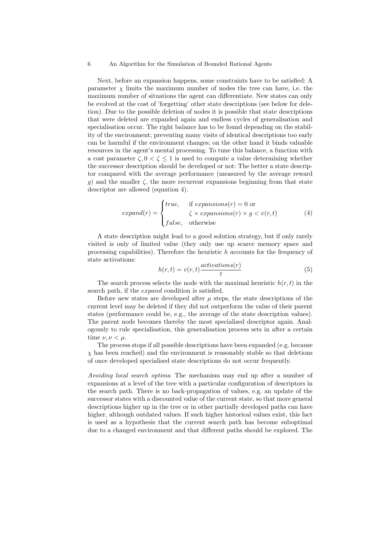Next, before an expansion happens, some constraints have to be satisfied: A parameter  $\chi$  limits the maximum number of nodes the tree can have, i.e. the maximum number of situations the agent can differentiate. New states can only be evolved at the cost of 'forgetting' other state descriptions (see below for deletion). Due to the possible deletion of nodes it is possible that state descriptions that were deleted are expanded again and endless cycles of generalisation and specialisation occur. The right balance has to be found depending on the stability of the environment; preventing many visits of identical descriptions too early can be harmful if the environment changes; on the other hand it binds valuable resources in the agent's mental processing. To tune this balance, a function with a cost parameter  $\zeta$ ,  $0 < \zeta \le 1$  is used to compute a value determining whether the successor description should be developed or not: The better a state descriptor compared with the average performance (measured by the average reward g) and the smaller  $\zeta$ , the more recurrent expansions beginning from that state descriptor are allowed (equation 4).

$$
expand(r) = \begin{cases} true, & \text{if expansions}(r) = 0 \text{ or} \\ & \zeta \times expansions(r) \times g < v(r, t) \\ false, & \text{otherwise} \end{cases} \tag{4}
$$

A state description might lead to a good solution strategy, but if only rarely visited is only of limited value (they only use up scarce memory space and processing capabilities). Therefore the heuristic  $h$  accounts for the frequency of state activations:

$$
h(r,t) = v(r,t) \frac{\text{activations}(r)}{t} \tag{5}
$$

The search process selects the node with the maximal heuristic  $h(r, t)$  in the search path, if the expand condition is satisfied.

Before new states are developed after  $\mu$  steps, the state descriptions of the current level may be deleted if they did not outperform the value of their parent states (performance could be, e.g., the average of the state description values). The parent node becomes thereby the most specialised descriptor again. Analogously to rule specialisation, this generalisation process sets in after a certain time  $\nu, \nu < \mu$ .

The process stops if all possible descriptions have been expanded (e.g. because  $\chi$  has been reached) and the environment is reasonably stable so that deletions of once developed specialised state descriptions do not occur frequently.

Avoiding local search optima The mechanism may end up after a number of expansions at a level of the tree with a particular configuration of descriptors in the search path. There is no back-propagation of values, e.g. an update of the successor states with a discounted value of the current state, so that more general descriptions higher up in the tree or in other partially developed paths can have higher, although outdated values. If such higher historical values exist, this fact is used as a hypothesis that the current search path has become suboptimal due to a changed environment and that different paths should be explored. The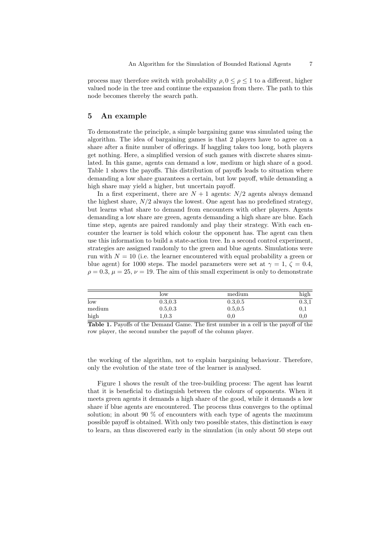process may therefore switch with probability  $\rho, 0 \leq \rho \leq 1$  to a different, higher valued node in the tree and continue the expansion from there. The path to this node becomes thereby the search path.

#### 5 An example

To demonstrate the principle, a simple bargaining game was simulated using the algorithm. The idea of bargaining games is that 2 players have to agree on a share after a finite number of offerings. If haggling takes too long, both players get nothing. Here, a simplified version of such games with discrete shares simulated. In this game, agents can demand a low, medium or high share of a good. Table 1 shows the payoffs. This distribution of payoffs leads to situation where demanding a low share guarantees a certain, but low payoff, while demanding a high share may yield a higher, but uncertain payoff.

In a first experiment, there are  $N + 1$  agents:  $N/2$  agents always demand the highest share,  $N/2$  always the lowest. One agent has no predefined strategy, but learns what share to demand from encounters with other players. Agents demanding a low share are green, agents demanding a high share are blue. Each time step, agents are paired randomly and play their strategy. With each encounter the learner is told which colour the opponent has. The agent can then use this information to build a state-action tree. In a second control experiment, strategies are assigned randomly to the green and blue agents. Simulations were run with  $N = 10$  (i.e. the learner encountered with equal probability a green or blue agent) for 1000 steps. The model parameters were set at  $\gamma = 1, \zeta = 0.4$ ,  $\rho = 0.3$ ,  $\mu = 25$ ,  $\nu = 19$ . The aim of this small experiment is only to demonstrate

|                 | low      | medium   | high     |
|-----------------|----------|----------|----------|
| $_{\text{low}}$ | 0.3, 0.3 | 0.3, 0.5 | 0.3,1    |
| medium          | 0.5, 0.3 | 0.5.0.5  | U.I      |
| high            | 1.0.3    | 0.0      | $_{0.0}$ |

Table 1. Payoffs of the Demand Game. The first number in a cell is the payoff of the row player, the second number the payoff of the column player.

the working of the algorithm, not to explain bargaining behaviour. Therefore, only the evolution of the state tree of the learner is analysed.

Figure 1 shows the result of the tree-building process: The agent has learnt that it is beneficial to distinguish between the colours of opponents. When it meets green agents it demands a high share of the good, while it demands a low share if blue agents are encountered. The process thus converges to the optimal solution; in about 90 % of encounters with each type of agents the maximum possible payoff is obtained. With only two possible states, this distinction is easy to learn, an thus discovered early in the simulation (in only about 50 steps out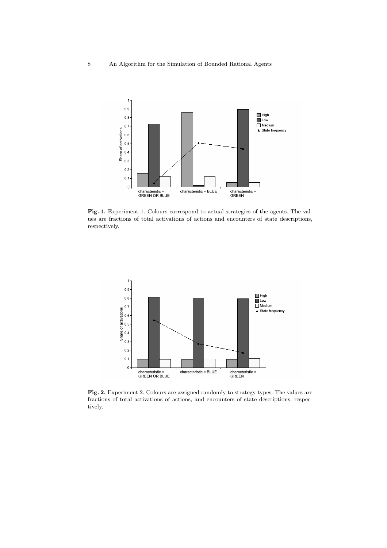

Fig. 1. Experiment 1. Colours correspond to actual strategies of the agents. The values are fractions of total activations of actions and encounters of state descriptions, respectively.



Fig. 2. Experiment 2. Colours are assigned randomly to strategy types. The values are fractions of total activations of actions, and encounters of state descriptions, respectively.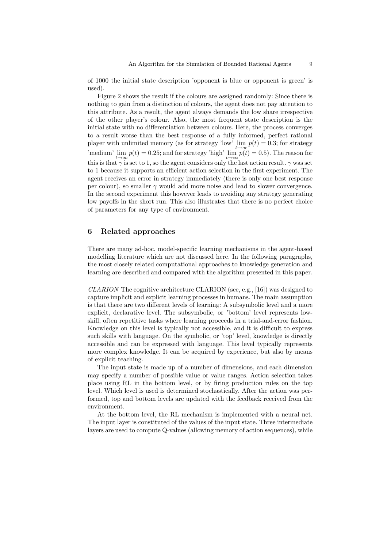of 1000 the initial state description 'opponent is blue or opponent is green' is used).

Figure 2 shows the result if the colours are assigned randomly: Since there is nothing to gain from a distinction of colours, the agent does not pay attention to this attribute. As a result, the agent always demands the low share irrespective of the other player's colour. Also, the most frequent state description is the initial state with no differentiation between colours. Here, the process converges to a result worse than the best response of a fully informed, perfect rational player with unlimited memory (as for strategy 'low'  $\lim_{t\to\infty} p(t) = 0.3$ ; for strategy 'medium'  $\lim_{t\to\infty} p(t) = 0.25$ ; and for strategy 'high'  $\lim_{t\to\infty} p(t) = 0.5$ ). The reason for this is that  $\gamma$  is set to 1, so the agent considers only the last action result.  $\gamma$  was set to 1 because it supports an efficient action selection in the first experiment. The agent receives an error in strategy immediately (there is only one best response per colour), so smaller  $\gamma$  would add more noise and lead to slower convergence. In the second experiment this however leads to avoiding any strategy generating low payoffs in the short run. This also illustrates that there is no perfect choice of parameters for any type of environment.

## 6 Related approaches

There are many ad-hoc, model-specific learning mechanisms in the agent-based modelling literature which are not discussed here. In the following paragraphs, the most closely related computational approaches to knowledge generation and learning are described and compared with the algorithm presented in this paper.

CLARION The cognitive architecture CLARION (see, e.g., [16]) was designed to capture implicit and explicit learning processes in humans. The main assumption is that there are two different levels of learning: A subsymbolic level and a more explicit, declarative level. The subsymbolic, or 'bottom' level represents lowskill, often repetitive tasks where learning proceeds in a trial-and-error fashion. Knowledge on this level is typically not accessible, and it is difficult to express such skills with language. On the symbolic, or 'top' level, knowledge is directly accessible and can be expressed with language. This level typically represents more complex knowledge. It can be acquired by experience, but also by means of explicit teaching.

The input state is made up of a number of dimensions, and each dimension may specify a number of possible value or value ranges. Action selection takes place using RL in the bottom level, or by firing production rules on the top level. Which level is used is determined stochastically. After the action was performed, top and bottom levels are updated with the feedback received from the environment.

At the bottom level, the RL mechanism is implemented with a neural net. The input layer is constituted of the values of the input state. Three intermediate layers are used to compute Q-values (allowing memory of action sequences), while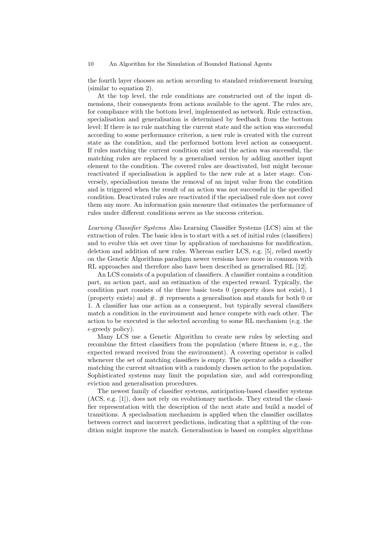the fourth layer chooses an action according to standard reinforcement learning (similar to equation 2).

At the top level, the rule conditions are constructed out of the input dimensions, their consequents from actions available to the agent. The rules are, for compliance with the bottom level, implemented as network. Rule extraction, specialisation and generalisation is determined by feedback from the bottom level: If there is no rule matching the current state and the action was successful according to some performance criterion, a new rule is created with the current state as the condition, and the performed bottom level action as consequent. If rules matching the current condition exist and the action was successful, the matching rules are replaced by a generalised version by adding another input element to the condition. The covered rules are deactivated, but might become reactivated if specialisation is applied to the new rule at a later stage. Conversely, specialisation means the removal of an input value from the condition and is triggered when the result of an action was not successful in the specified condition. Deactivated rules are reactivated if the specialised rule does not cover them any more. An information gain measure that estimates the performance of rules under different conditions serves as the success criterion.

Learning Classifier Systems Also Learning Classifier Systems (LCS) aim at the extraction of rules. The basic idea is to start with a set of initial rules (classifiers) and to evolve this set over time by application of mechanisms for modification, deletion and addition of new rules. Whereas earlier LCS, e.g. [5], relied mostly on the Genetic Algorithms paradigm newer versions have more in common with RL approaches and therefore also have been described as generalised RL [12].

An LCS consists of a population of classifiers. A classifier contains a condition part, an action part, and an estimation of the expected reward. Typically, the condition part consists of the three basic tests 0 (property does not exist), 1 (property exists) and  $\#$ .  $\#$  represents a generalisation and stands for both 0 or 1. A classifier has one action as a consequent, but typically several classifiers match a condition in the environment and hence compete with each other. The action to be executed is the selected according to some RL mechanism (e.g. the  $\epsilon$ -greedy policy).

Many LCS use a Genetic Algorithm to create new rules by selecting and recombine the fittest classifiers from the population (where fitness is, e.g., the expected reward received from the environment). A covering operator is called whenever the set of matching classifiers is empty. The operator adds a classifier matching the current situation with a randomly chosen action to the population. Sophisticated systems may limit the population size, and add corresponding eviction and generalisation procedures.

The newest family of classifier systems, anticipation-based classifier systems (ACS, e.g. [1]), does not rely on evolutionary methods. They extend the classifier representation with the description of the next state and build a model of transitions. A specialisation mechanism is applied when the classifier oscillates between correct and incorrect predictions, indicating that a splitting of the condition might improve the match. Generalisation is based on complex algorithms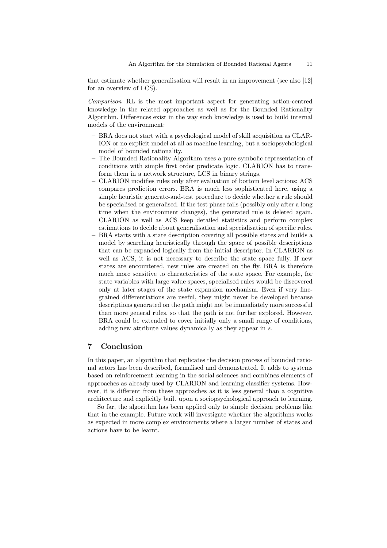that estimate whether generalisation will result in an improvement (see also [12] for an overview of LCS).

Comparison RL is the most important aspect for generating action-centred knowledge in the related approaches as well as for the Bounded Rationality Algorithm. Differences exist in the way such knowledge is used to build internal models of the environment:

- BRA does not start with a psychological model of skill acquisition as CLAR-ION or no explicit model at all as machine learning, but a sociopsychological model of bounded rationality.
- The Bounded Rationality Algorithm uses a pure symbolic representation of conditions with simple first order predicate logic. CLARION has to transform them in a network structure, LCS in binary strings.
- CLARION modifies rules only after evaluation of bottom level actions; ACS compares prediction errors. BRA is much less sophisticated here, using a simple heuristic generate-and-test procedure to decide whether a rule should be specialised or generalised. If the test phase fails (possibly only after a long time when the environment changes), the generated rule is deleted again. CLARION as well as ACS keep detailed statistics and perform complex estimations to decide about generalisation and specialisation of specific rules.
- BRA starts with a state description covering all possible states and builds a model by searching heuristically through the space of possible descriptions that can be expanded logically from the initial descriptor. In CLARION as well as ACS, it is not necessary to describe the state space fully. If new states are encountered, new rules are created on the fly. BRA is therefore much more sensitive to characteristics of the state space. For example, for state variables with large value spaces, specialised rules would be discovered only at later stages of the state expansion mechanism. Even if very finegrained differentiations are useful, they might never be developed because descriptions generated on the path might not be immediately more successful than more general rules, so that the path is not further explored. However, BRA could be extended to cover initially only a small range of conditions, adding new attribute values dynamically as they appear in s.

## 7 Conclusion

In this paper, an algorithm that replicates the decision process of bounded rational actors has been described, formalised and demonstrated. It adds to systems based on reinforcement learning in the social sciences and combines elements of approaches as already used by CLARION and learning classifier systems. However, it is different from these approaches as it is less general than a cognitive architecture and explicitly built upon a sociopsychological approach to learning.

So far, the algorithm has been applied only to simple decision problems like that in the example. Future work will investigate whether the algorithms works as expected in more complex environments where a larger number of states and actions have to be learnt.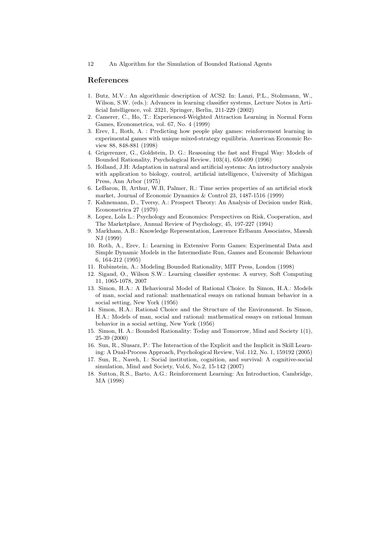#### References

- 1. Butz, M.V.: An algorithmic description of ACS2. In: Lanzi, P.L., Stolzmann, W., Wilson, S.W. (eds.): Advances in learning classifier systems, Lecture Notes in Artificial Intelligence, vol. 2321, Springer, Berlin, 211-229 (2002)
- 2. Camerer, C., Ho, T.: Experienced-Weighted Attraction Learning in Normal Form Games, Econometrica, vol. 67, No. 4 (1999)
- 3. Erev, I., Roth, A. : Predicting how people play games: reinforcement learning in experimental games with unique mixed-strategy equilibria. American Economic Review 88, 848-881 (1998)
- 4. Grigerenzer, G., Goldstein, D. G.: Reasoning the fast and Frugal Way: Models of Bounded Rationality, Psychological Review, 103(4), 650-699 (1996)
- 5. Holland, J.H: Adaptation in natural and artificial systems: An introductory analysis with application to biology, control, artificial intelligence, University of Michigan Press, Ann Arbor (1975)
- 6. LeBaron, B, Arthur, W.B, Palmer, R.: Time series properties of an artificial stock market, Journal of Economic Dynamics & Control 23, 1487-1516 (1999)
- 7. Kahnemann, D., Tversy, A.: Prospect Theory: An Analysis of Decision under Risk, Econometrica 27 (1979)
- 8. Lopez, Lola L.: Psychology and Economics: Perspectives on Risk, Cooperation, and The Marketplace, Annual Review of Psychology, 45, 197-227 (1994)
- 9. Markham, A.B.: Knowledge Representation, Lawrence Erlbaum Associates, Mawah NJ (1999)
- 10. Roth, A., Erev, I.: Learning in Extensive Form Games: Experimental Data and Simple Dynamic Models in the Intermediate Run, Games and Economic Behaviour 6, 164-212 (1995)
- 11. Rubinstein, A.: Modeling Bounded Rationality, MIT Press, London (1998)
- 12. Sigaud, O., Wilson S.W.: Learning classifier systems: A survey, Soft Computing 11, 1065-1078, 2007
- 13. Simon, H.A.: A Behavioural Model of Rational Choice. In Simon, H.A.: Models of man, social and rational: mathematical essays on rational human behavior in a social setting, New York (1956)
- 14. Simon, H.A.: Rational Choice and the Structure of the Environment. In Simon, H.A.: Models of man, social and rational: mathematical essays on rational human behavior in a social setting, New York (1956)
- 15. Simon, H. A.: Bounded Rationality: Today and Tomorrow, Mind and Society 1(1), 25-39 (2000)
- 16. Sun, R., Slusarz, P.: The Interaction of the Explicit and the Implicit in Skill Learning: A Dual-Process Approach, Psychological Review, Vol. 112, No. 1, 159192 (2005)
- 17. Sun, R., Naveh, I.: Social institution, cognition, and survival: A cognitive-social simulation, Mind and Society, Vol.6, No.2, 15-142 (2007)
- 18. Sutton, R.S., Barto, A.G.: Reinforcement Learning: An Introduction, Cambridge, MA (1998)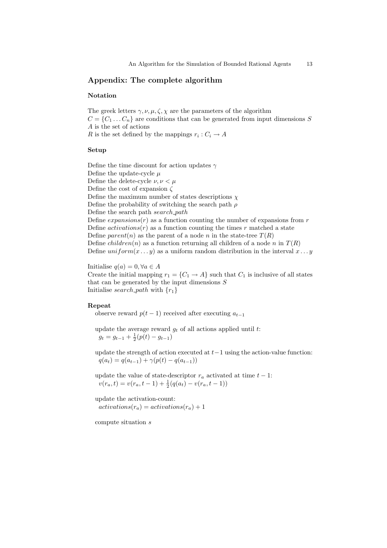## Appendix: The complete algorithm

### Notation

The greek letters  $\gamma$ ,  $\nu$ ,  $\mu$ ,  $\zeta$ ,  $\chi$  are the parameters of the algorithm  $C = \{C_1 \dots C_n\}$  are conditions that can be generated from input dimensions S A is the set of actions R is the set defined by the mappings  $r_i: C_i \to A$ 

#### Setup

Define the time discount for action updates  $\gamma$ Define the update-cycle  $\mu$ Define the delete-cycle  $\nu, \nu < \mu$ Define the cost of expansion  $\zeta$ Define the maximum number of states descriptions  $\chi$ Define the probability of switching the search path  $\rho$ Define the search path search path Define  $expansions(r)$  as a function counting the number of expansions from r Define  $activations(r)$  as a function counting the times r matched a state Define parent(n) as the parent of a node n in the state-tree  $T(R)$ Define *children*(*n*) as a function returning all children of a node *n* in  $T(R)$ Define  $uniform(x \dots y)$  as a uniform random distribution in the interval  $x \dots y$ 

Initialise  $q(a) = 0, \forall a \in A$ Create the initial mapping  $r_1 = \{C_1 \rightarrow A\}$  such that  $C_1$  is inclusive of all states that can be generated by the input dimensions  $S$ Initialise search path with  $\{r_1\}$ 

#### Repeat

observe reward  $p(t-1)$  received after executing  $a_{t-1}$ 

update the average reward  $g_t$  of all actions applied until t:  $g_t = g_{t-1} + \frac{1}{2}(p(t) - g_{t-1})$ 

update the strength of action executed at  $t-1$  using the action-value function:  $q(a_t) = q(a_{t-1}) + \gamma(p(t) - q(a_{t-1}))$ 

update the value of state-descriptor  $r_a$  activated at time  $t - 1$ :  $v(r_a, t) = v(r_a, t-1) + \frac{1}{2}(q(a_t) - v(r_a, t-1))$ 

update the activation-count:  $actions(r_a) = activations(r_a) + 1$ 

compute situation s